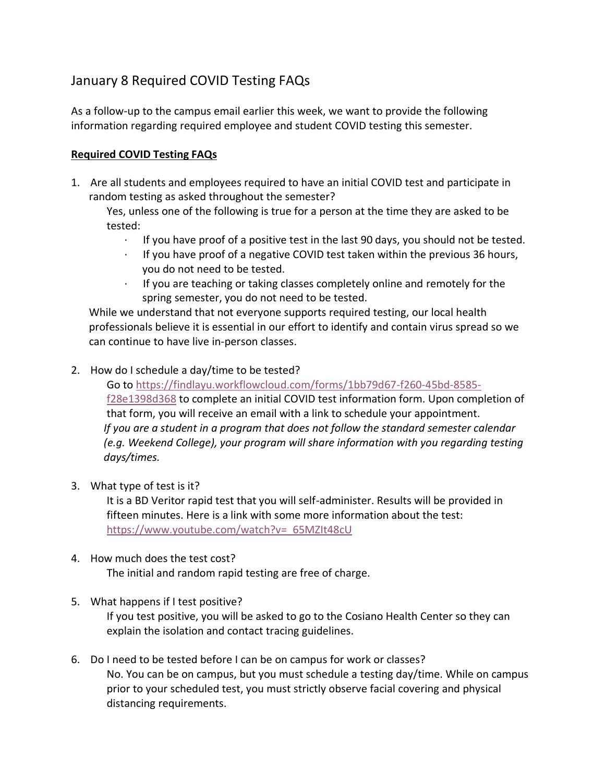## January 8 Required COVID Testing FAQs

As a follow-up to the campus email earlier this week, we want to provide the following information regarding required employee and student COVID testing this semester.

## **Required COVID Testing FAQs**

1. Are all students and employees required to have an initial COVID test and participate in random testing as asked throughout the semester?

Yes, unless one of the following is true for a person at the time they are asked to be tested:

- · If you have proof of a positive test in the last 90 days, you should not be tested.
- $\cdot$  If you have proof of a negative COVID test taken within the previous 36 hours, you do not need to be tested.
- · If you are teaching or taking classes completely online and remotely for the spring semester, you do not need to be tested.

While we understand that not everyone supports required testing, our local health professionals believe it is essential in our effort to identify and contain virus spread so we can continue to have live in-person classes.

2. How do I schedule a day/time to be tested?

Go to [https://findlayu.workflowcloud.com/forms/1bb79d67-f260-45bd-8585](https://findlayu.workflowcloud.com/forms/1bb79d67-f260-45bd-8585-f28e1398d368) [f28e1398d368](https://findlayu.workflowcloud.com/forms/1bb79d67-f260-45bd-8585-f28e1398d368) to complete an initial COVID test information form. Upon completion of that form, you will receive an email with a link to schedule your appointment. *If you are a student in a program that does not follow the standard semester calendar (e.g. Weekend College), your program will share information with you regarding testing days/times.*

3. What type of test is it?

It is a BD Veritor rapid test that you will self-administer. Results will be provided in fifteen minutes. Here is a link with some more information about the test: [https://www.youtube.com/watch?v=\\_65MZIt48cU](https://www.youtube.com/watch?v=_65MZIt48cU)

## 4. How much does the test cost?

The initial and random rapid testing are free of charge.

5. What happens if I test positive?

If you test positive, you will be asked to go to the Cosiano Health Center so they can explain the isolation and contact tracing guidelines.

6. Do I need to be tested before I can be on campus for work or classes? No. You can be on campus, but you must schedule a testing day/time. While on campus prior to your scheduled test, you must strictly observe facial covering and physical distancing requirements.